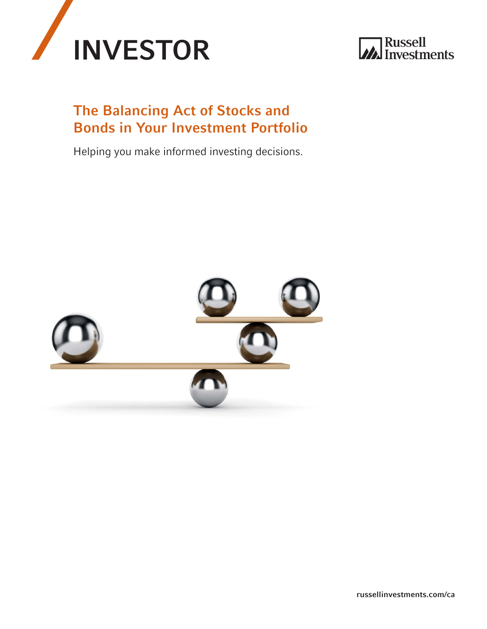



# The Balancing Act of Stocks and Bonds in Your Investment Portfolio

Helping you make informed investing decisions.



[russellinvestments.com/ca](http://russellinvestments.com/ca)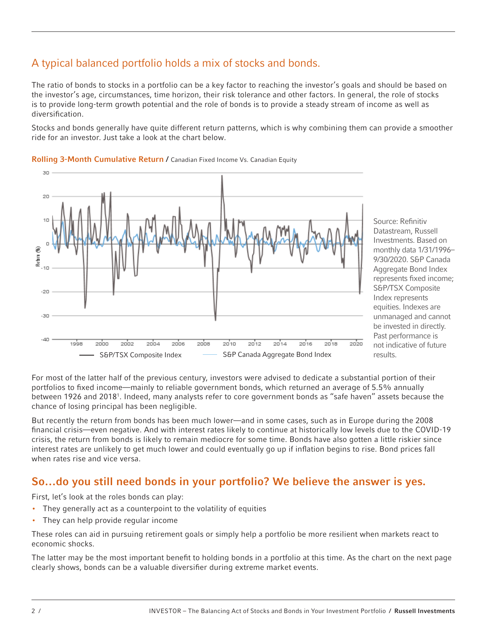## A typical balanced portfolio holds a mix of stocks and bonds.

The ratio of bonds to stocks in a portfolio can be a key factor to reaching the investor's goals and should be based on the investor's age, circumstances, time horizon, their risk tolerance and other factors. In general, the role of stocks is to provide long-term growth potential and the role of bonds is to provide a steady stream of income as well as diversification.

Stocks and bonds generally have quite different return patterns, which is why combining them can provide a smoother ride for an investor. Just take a look at the chart below.



### Rolling 3-Month Cumulative Return / Canadian Fixed Income Vs. Canadian Equity

Source: Refinitiv Datastream, Russell Investments. Based on monthly data 1/31/1996– 9/30/2020. S&P Canada Aggregate Bond Index represents fixed income; S&P/TSX Composite Index represents equities. Indexes are unmanaged and cannot be invested in directly. Past performance is not indicative of future results.

For most of the latter half of the previous century, investors were advised to dedicate a substantial portion of their portfolios to fixed income—mainly to reliable government bonds, which returned an average of 5.5% annually between 1926 and 2018<sup>1</sup>. Indeed, many analysts refer to core government bonds as "safe haven" assets because the chance of losing principal has been negligible.

But recently the return from bonds has been much lower—and in some cases, such as in Europe during the 2008 financial crisis—even negative. And with interest rates likely to continue at historically low levels due to the COVID-19 crisis, the return from bonds is likely to remain mediocre for some time. Bonds have also gotten a little riskier since interest rates are unlikely to get much lower and could eventually go up if inflation begins to rise. Bond prices fall when rates rise and vice versa.

### So…do you still need bonds in your portfolio? We believe the answer is yes.

First, let's look at the roles bonds can play:

- They generally act as a counterpoint to the volatility of equities
- They can help provide regular income

These roles can aid in pursuing retirement goals or simply help a portfolio be more resilient when markets react to economic shocks.

The latter may be the most important benefit to holding bonds in a portfolio at this time. As the chart on the next page clearly shows, bonds can be a valuable diversifier during extreme market events.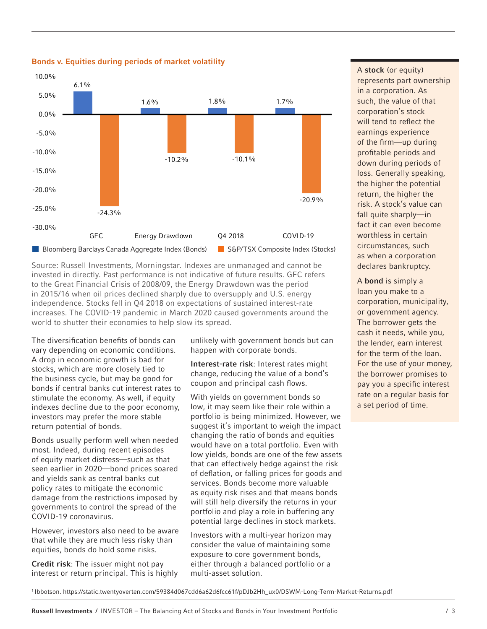

Bonds v. Equities during periods of market volatility

Source: Russell Investments, Morningstar. Indexes are unmanaged and cannot be invested in directly. Past performance is not indicative of future results. GFC refers to the Great Financial Crisis of 2008/09, the Energy Drawdown was the period in 2015/16 when oil prices declined sharply due to oversupply and U.S. energy independence. Stocks fell in Q4 2018 on expectations of sustained interest-rate increases. The COVID-19 pandemic in March 2020 caused governments around the world to shutter their economies to help slow its spread.

The diversification benefits of bonds can vary depending on economic conditions. A drop in economic growth is bad for stocks, which are more closely tied to the business cycle, but may be good for bonds if central banks cut interest rates to stimulate the economy. As well, if equity indexes decline due to the poor economy, investors may prefer the more stable return potential of bonds.

Bonds usually perform well when needed most. Indeed, during recent episodes of equity market distress—such as that seen earlier in 2020—bond prices soared and yields sank as central banks cut policy rates to mitigate the economic damage from the restrictions imposed by governments to control the spread of the COVID-19 coronavirus.

However, investors also need to be aware that while they are much less risky than equities, bonds do hold some risks.

Credit risk: The issuer might not pay interest or return principal. This is highly

unlikely with government bonds but can happen with corporate bonds.

Interest-rate risk: Interest rates might change, reducing the value of a bond's coupon and principal cash flows.

With yields on government bonds so low, it may seem like their role within a portfolio is being minimized. However, we suggest it's important to weigh the impact changing the ratio of bonds and equities would have on a total portfolio. Even with low yields, bonds are one of the few assets that can effectively hedge against the risk of deflation, or falling prices for goods and services. Bonds become more valuable as equity risk rises and that means bonds will still help diversify the returns in your portfolio and play a role in buffering any potential large declines in stock markets.

Investors with a multi-year horizon may consider the value of maintaining some exposure to core government bonds, either through a balanced portfolio or a multi-asset solution.

A stock (or equity) represents part ownership in a corporation. As such, the value of that corporation's stock will tend to reflect the earnings experience of the firm—up during profitable periods and down during periods of loss. Generally speaking, the higher the potential return, the higher the risk. A stock's value can fall quite sharply—in fact it can even become worthless in certain circumstances, such as when a corporation declares bankruptcy.

A bond is simply a loan you make to a corporation, municipality, or government agency. The borrower gets the cash it needs, while you, the lender, earn interest for the term of the loan. For the use of your money, the borrower promises to pay you a specific interest rate on a regular basis for a set period of time.

1 Ibbotson. https://static.twentyoverten.com/59384d067cdd6a62d6fcc61f/pDJb2Hh\_ux0/DSWM-Long-Term-Market-Returns.pdf